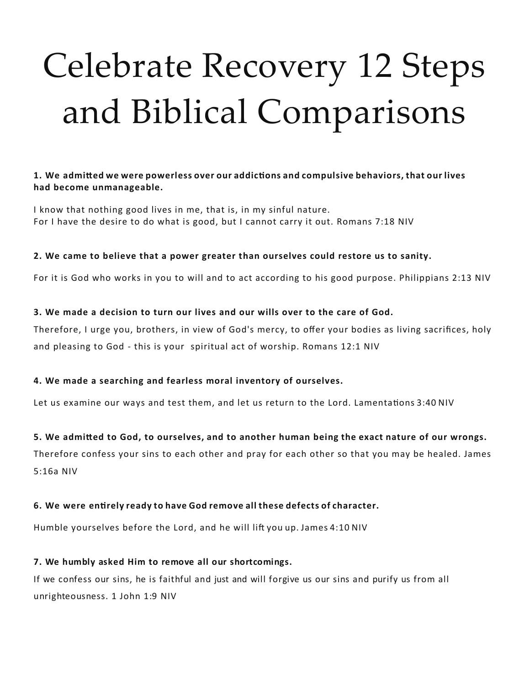# Celebrate Recovery 12 Steps and Biblical Comparisons

#### **1. We admitted we were powerless over our addictions and compulsive behaviors, that our lives had become unmanageable.**

I know that nothing good lives in me, that is, in my sinful nature. For I have the desire to do what is good, but I cannot carry it out. Romans 7:18 NIV

#### **2. We came to believe that a power greater than ourselves could restore us to sanity.**

For it is God who works in you to will and to act according to his good purpose. Philippians 2:13 NIV

#### **3. We made a decision to turn our lives and our wills over to the care of God.**

Therefore, I urge you, brothers, in view of God's mercy, to offer your bodies as living sacrifices, holy and pleasing to God - this is your spiritual act of worship. Romans 12:1 NIV

## **4. We made a searching and fearless moral inventory of ourselves.**

Let us examine our ways and test them, and let us return to the Lord. Lamentations 3:40 NIV

## **5. We admitted to God, to ourselves, and to another human being the exact nature of our wrongs.**

Therefore confess your sins to each other and pray for each other so that you may be healed. James 5:16a NIV

## **6. We were entirely ready to have God remove all these defects of character.**

Humble yourselves before the Lord, and he will lift you up. James 4:10 NIV

## **7. We humbly asked Him to remove all our shortcomings.**

If we confess our sins, he is faithful and just and will forgive us our sins and purify us from all unrighteousness. 1 John 1:9 NIV